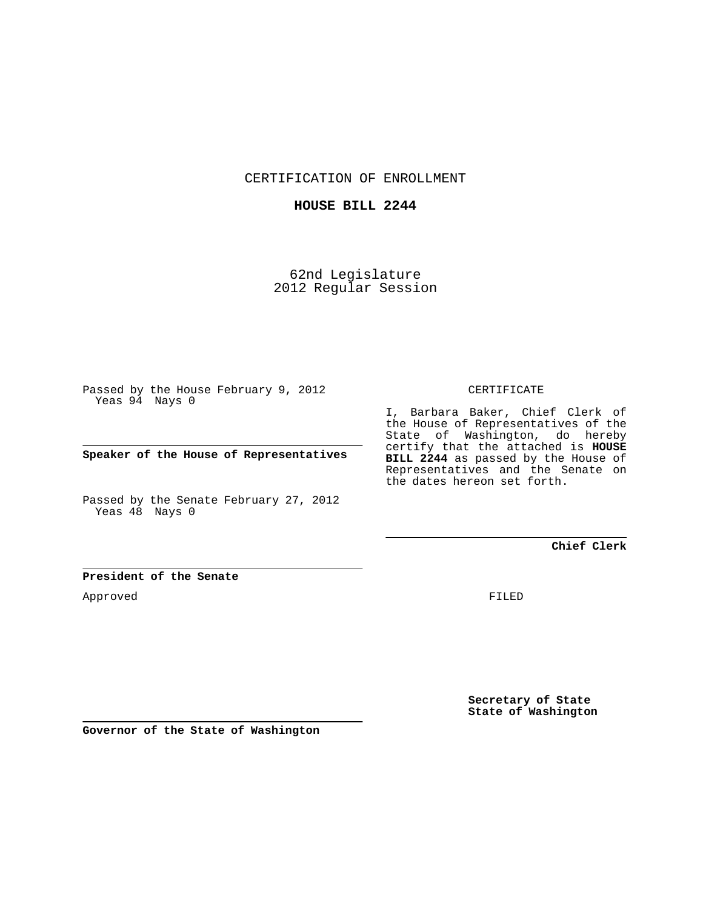CERTIFICATION OF ENROLLMENT

## **HOUSE BILL 2244**

62nd Legislature 2012 Regular Session

Passed by the House February 9, 2012 Yeas 94 Nays 0

**Speaker of the House of Representatives**

Passed by the Senate February 27, 2012 Yeas 48 Nays 0

## CERTIFICATE

I, Barbara Baker, Chief Clerk of the House of Representatives of the State of Washington, do hereby certify that the attached is **HOUSE BILL 2244** as passed by the House of Representatives and the Senate on the dates hereon set forth.

**Chief Clerk**

## **President of the Senate**

Approved

FILED

**Secretary of State State of Washington**

**Governor of the State of Washington**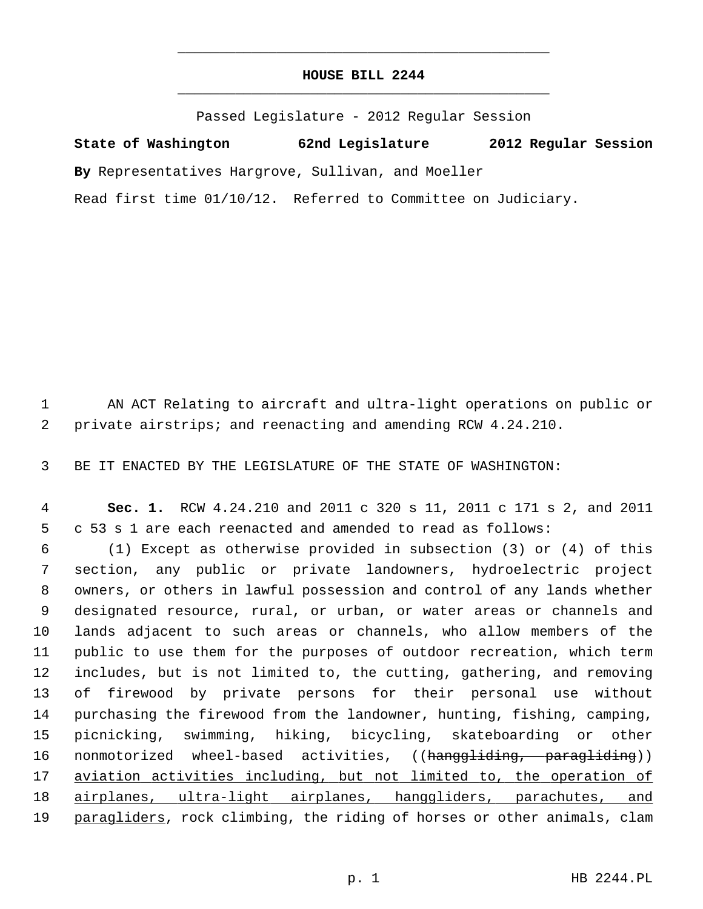## **HOUSE BILL 2244** \_\_\_\_\_\_\_\_\_\_\_\_\_\_\_\_\_\_\_\_\_\_\_\_\_\_\_\_\_\_\_\_\_\_\_\_\_\_\_\_\_\_\_\_\_

\_\_\_\_\_\_\_\_\_\_\_\_\_\_\_\_\_\_\_\_\_\_\_\_\_\_\_\_\_\_\_\_\_\_\_\_\_\_\_\_\_\_\_\_\_

Passed Legislature - 2012 Regular Session

**State of Washington 62nd Legislature 2012 Regular Session By** Representatives Hargrove, Sullivan, and Moeller Read first time 01/10/12. Referred to Committee on Judiciary.

 1 AN ACT Relating to aircraft and ultra-light operations on public or 2 private airstrips; and reenacting and amending RCW 4.24.210.

3 BE IT ENACTED BY THE LEGISLATURE OF THE STATE OF WASHINGTON:

 4 **Sec. 1.** RCW 4.24.210 and 2011 c 320 s 11, 2011 c 171 s 2, and 2011 5 c 53 s 1 are each reenacted and amended to read as follows:

 6 (1) Except as otherwise provided in subsection (3) or (4) of this 7 section, any public or private landowners, hydroelectric project 8 owners, or others in lawful possession and control of any lands whether 9 designated resource, rural, or urban, or water areas or channels and 10 lands adjacent to such areas or channels, who allow members of the 11 public to use them for the purposes of outdoor recreation, which term 12 includes, but is not limited to, the cutting, gathering, and removing 13 of firewood by private persons for their personal use without 14 purchasing the firewood from the landowner, hunting, fishing, camping, 15 picnicking, swimming, hiking, bicycling, skateboarding or other 16 nonmotorized wheel-based activities, ((hanggliding, paragliding)) 17 aviation activities including, but not limited to, the operation of 18 airplanes, ultra-light airplanes, hanggliders, parachutes, and 19 paragliders, rock climbing, the riding of horses or other animals, clam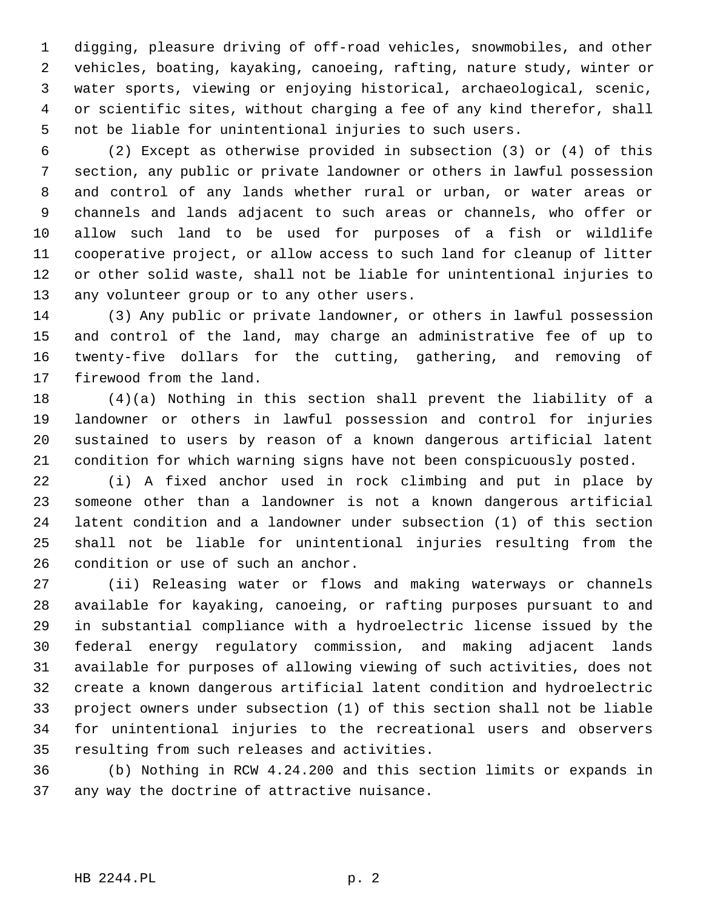1 digging, pleasure driving of off-road vehicles, snowmobiles, and other 2 vehicles, boating, kayaking, canoeing, rafting, nature study, winter or 3 water sports, viewing or enjoying historical, archaeological, scenic, 4 or scientific sites, without charging a fee of any kind therefor, shall 5 not be liable for unintentional injuries to such users.

 6 (2) Except as otherwise provided in subsection (3) or (4) of this 7 section, any public or private landowner or others in lawful possession 8 and control of any lands whether rural or urban, or water areas or 9 channels and lands adjacent to such areas or channels, who offer or 10 allow such land to be used for purposes of a fish or wildlife 11 cooperative project, or allow access to such land for cleanup of litter 12 or other solid waste, shall not be liable for unintentional injuries to 13 any volunteer group or to any other users.

14 (3) Any public or private landowner, or others in lawful possession 15 and control of the land, may charge an administrative fee of up to 16 twenty-five dollars for the cutting, gathering, and removing of 17 firewood from the land.

18 (4)(a) Nothing in this section shall prevent the liability of a 19 landowner or others in lawful possession and control for injuries 20 sustained to users by reason of a known dangerous artificial latent 21 condition for which warning signs have not been conspicuously posted.

22 (i) A fixed anchor used in rock climbing and put in place by 23 someone other than a landowner is not a known dangerous artificial 24 latent condition and a landowner under subsection (1) of this section 25 shall not be liable for unintentional injuries resulting from the 26 condition or use of such an anchor.

27 (ii) Releasing water or flows and making waterways or channels 28 available for kayaking, canoeing, or rafting purposes pursuant to and 29 in substantial compliance with a hydroelectric license issued by the 30 federal energy regulatory commission, and making adjacent lands 31 available for purposes of allowing viewing of such activities, does not 32 create a known dangerous artificial latent condition and hydroelectric 33 project owners under subsection (1) of this section shall not be liable 34 for unintentional injuries to the recreational users and observers 35 resulting from such releases and activities.

36 (b) Nothing in RCW 4.24.200 and this section limits or expands in 37 any way the doctrine of attractive nuisance.